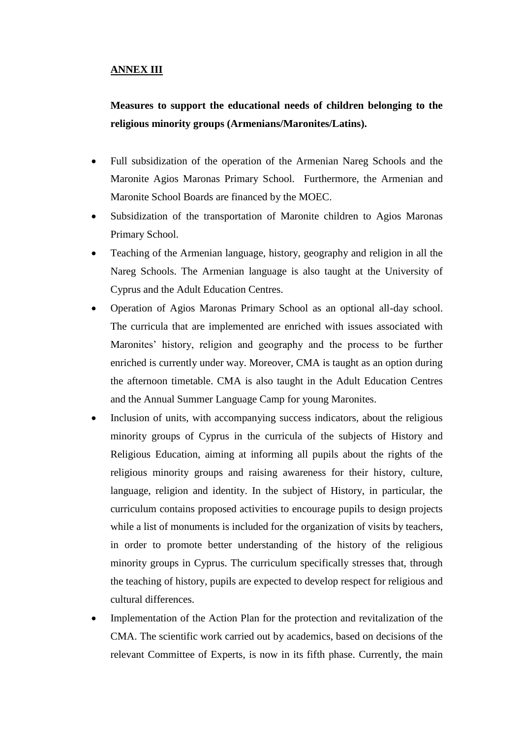## **ANNEX III**

**Measures to support the educational needs of children belonging to the religious minority groups (Armenians/Maronites/Latins).**

- Full subsidization of the operation of the Armenian Nareg Schools and the Maronite Agios Maronas Primary School. Furthermore, the Armenian and Maronite School Boards are financed by the MOEC.
- Subsidization of the transportation of Maronite children to Agios Maronas Primary School.
- Teaching of the Armenian language, history, geography and religion in all the Nareg Schools. The Armenian language is also taught at the University of Cyprus and the Adult Education Centres.
- Operation of Agios Maronas Primary School as an optional all-day school. The curricula that are implemented are enriched with issues associated with Maronites' history, religion and geography and the process to be further enriched is currently under way. Moreover, CMA is taught as an option during the afternoon timetable. CMA is also taught in the Adult Education Centres and the Annual Summer Language Camp for young Maronites.
- Inclusion of units, with accompanying success indicators, about the religious minority groups of Cyprus in the curricula of the subjects of History and Religious Education, aiming at informing all pupils about the rights of the religious minority groups and raising awareness for their history, culture, language, religion and identity. In the subject of History, in particular, the curriculum contains proposed activities to encourage pupils to design projects while a list of monuments is included for the organization of visits by teachers, in order to promote better understanding of the history of the religious minority groups in Cyprus. The curriculum specifically stresses that, through the teaching of history, pupils are expected to develop respect for religious and cultural differences.
- Implementation of the Action Plan for the protection and revitalization of the CMA. The scientific work carried out by academics, based on decisions of the relevant Committee of Experts, is now in its fifth phase. Currently, the main